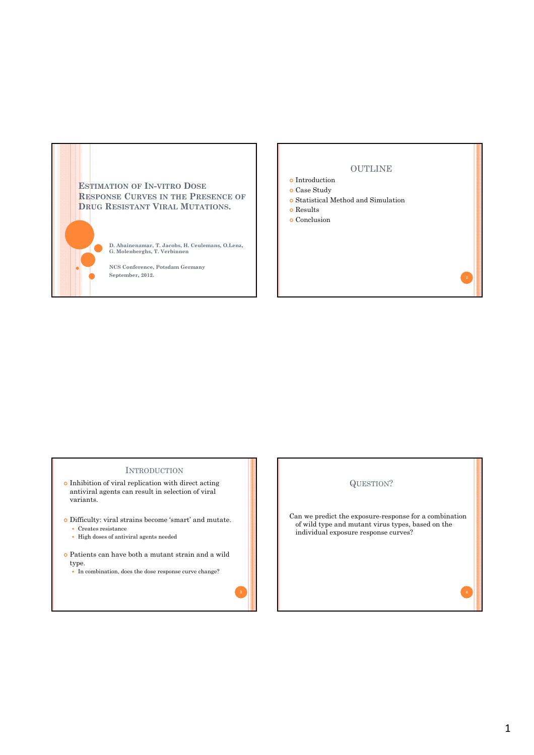## **ESTIMATION OF IN-VITRO DOSE RESPONSE CURVES IN THE PRESENCE OF DRUG RESISTANT VIRAL MUTATIONS.**

**D. Abainenamar, T. Jacobs, H. Ceulemans, O.Lenz, G. Molenberghs, T. Verbinnen**

**NCS Conference, Potsdam Germany September, 2012.**

## OUTLINE

- $\bullet$  Introduction
- Case Study
- Statistical Method and Simulation
- o Results
- o Conclusion

## **INTRODUCTION**

- Inhibition of viral replication with direct acting antiviral agents can result in selection of viral variants.
- Difficulty: viral strains become 'smart' and mutate.
	- Creates resistance
	- High doses of antiviral agents needed
- Patients can have both a mutant strain and a wild type.
	- In combination, does the dose response curve change?

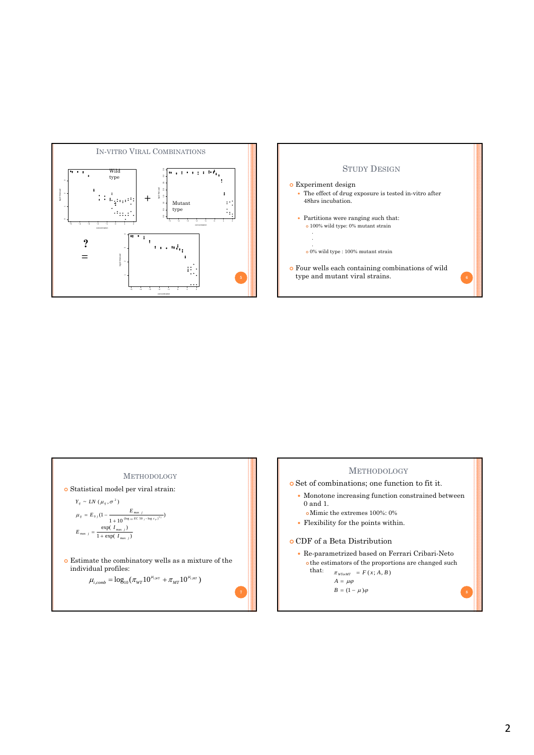



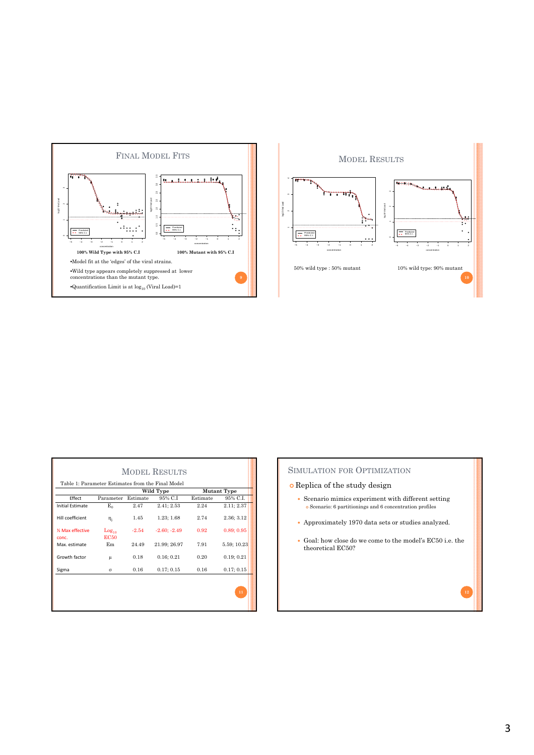



| <b>MODEL RESULTS</b>                              |                                  |           |                |                    |             |
|---------------------------------------------------|----------------------------------|-----------|----------------|--------------------|-------------|
| Table 1: Parameter Estimates from the Final Model |                                  |           |                |                    |             |
|                                                   |                                  | Wild Type |                | <b>Mutant Type</b> |             |
| Effect                                            | Parameter                        | Estimate  | 95% C.I        | Estimate           | 95% C.I.    |
| <b>Initial Estimate</b>                           | $E_{0}$                          | 2.47      | 2.41; 2.53     | 2.24               | 2.11; 2.37  |
| Hill coefficient                                  | $\eta_i$                         | 1.45      | 1.23:1.68      | 2.74               | 2.36; 3.12  |
| <b>1/3 Max effective</b><br>conc.                 | Log <sub>10</sub><br><b>EC50</b> | $-2.54$   | $-2.60; -2.49$ | 0.92               | 0.89:0.95   |
| Max. estimate                                     | E <sub>m</sub>                   | 24.49     | 21.99; 26.97   | 7.91               | 5.59; 10.23 |
| Growth factor                                     | μ                                | 0.18      | 0.16; 0.21     | 0.20               | 0.19; 0.21  |
| Sigma                                             | $\sigma$                         | 0.16      | 0.17; 0.15     | 0.16               | 0.17; 0.15  |
|                                                   |                                  |           |                |                    | $11\,$      |

## SIMULATION FOR OPTIMIZATION

- Replica of the study design
	- Scenario mimics experiment with different setting Scenario: 6 partitionings and 6 concentration profiles
	- Approximately 1970 data sets or studies analyzed.
	- Goal: how close do we come to the model's EC50 i.e. the theoretical EC50?

**12**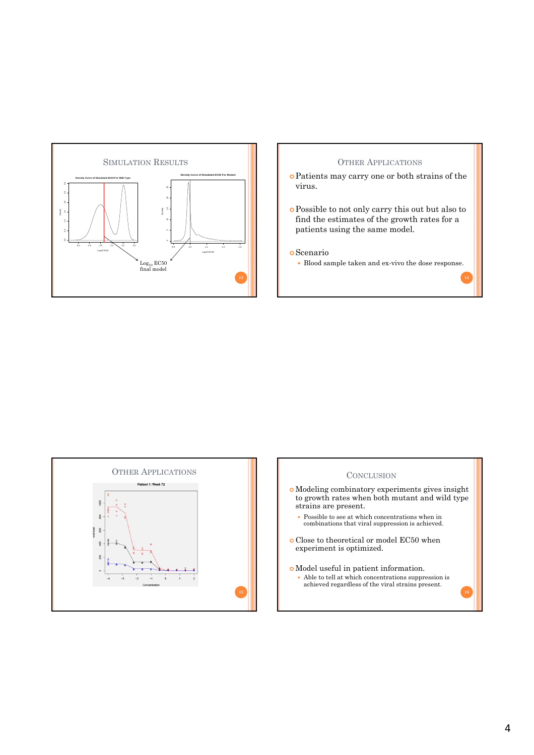